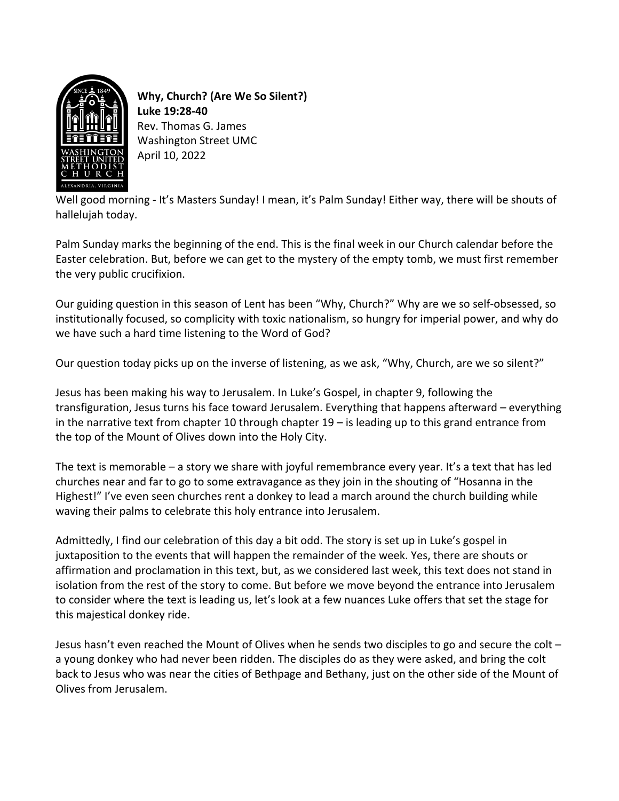

**Why, Church? (Are We So Silent?) Luke 19:28-40** Rev. Thomas G. James Washington Street UMC April 10, 2022

Well good morning - It's Masters Sunday! I mean, it's Palm Sunday! Either way, there will be shouts of hallelujah today.

Palm Sunday marks the beginning of the end. This is the final week in our Church calendar before the Easter celebration. But, before we can get to the mystery of the empty tomb, we must first remember the very public crucifixion.

Our guiding question in this season of Lent has been "Why, Church?" Why are we so self-obsessed, so institutionally focused, so complicity with toxic nationalism, so hungry for imperial power, and why do we have such a hard time listening to the Word of God?

Our question today picks up on the inverse of listening, as we ask, "Why, Church, are we so silent?"

Jesus has been making his way to Jerusalem. In Luke's Gospel, in chapter 9, following the transfiguration, Jesus turns his face toward Jerusalem. Everything that happens afterward – everything in the narrative text from chapter 10 through chapter 19 – is leading up to this grand entrance from the top of the Mount of Olives down into the Holy City.

The text is memorable – a story we share with joyful remembrance every year. It's a text that has led churches near and far to go to some extravagance as they join in the shouting of "Hosanna in the Highest!" I've even seen churches rent a donkey to lead a march around the church building while waving their palms to celebrate this holy entrance into Jerusalem.

Admittedly, I find our celebration of this day a bit odd. The story is set up in Luke's gospel in juxtaposition to the events that will happen the remainder of the week. Yes, there are shouts or affirmation and proclamation in this text, but, as we considered last week, this text does not stand in isolation from the rest of the story to come. But before we move beyond the entrance into Jerusalem to consider where the text is leading us, let's look at a few nuances Luke offers that set the stage for this majestical donkey ride.

Jesus hasn't even reached the Mount of Olives when he sends two disciples to go and secure the colt – a young donkey who had never been ridden. The disciples do as they were asked, and bring the colt back to Jesus who was near the cities of Bethpage and Bethany, just on the other side of the Mount of Olives from Jerusalem.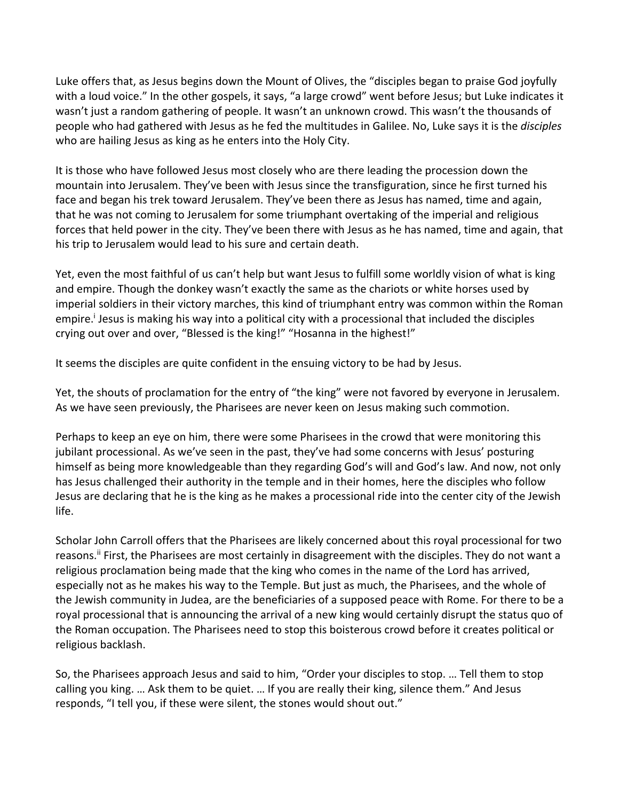Luke offers that, as Jesus begins down the Mount of Olives, the "disciples began to praise God joyfully with a loud voice." In the other gospels, it says, "a large crowd" went before Jesus; but Luke indicates it wasn't just a random gathering of people. It wasn't an unknown crowd. This wasn't the thousands of people who had gathered with Jesus as he fed the multitudes in Galilee. No, Luke says it is the *disciples* who are hailing Jesus as king as he enters into the Holy City.

It is those who have followed Jesus most closely who are there leading the procession down the mountain into Jerusalem. They've been with Jesus since the transfiguration, since he first turned his face and began his trek toward Jerusalem. They've been there as Jesus has named, time and again, that he was not coming to Jerusalem for some triumphant overtaking of the imperial and religious forces that held power in the city. They've been there with Jesus as he has named, time and again, that his trip to Jerusalem would lead to his sure and certain death.

Yet, even the most faithful of us can't help but want Jesus to fulfill some worldly vision of what is king and empire. Though the donkey wasn't exactly the same as the chariots or white horses used by imperial soldiers in their victory marches, this kind of triumphant entry was common within the Roman empire.<sup>i</sup> Jesus is making his way into a political city with a processional that included the disciples crying out over and over, "Blessed is the king!" "Hosanna in the highest!"

It seems the disciples are quite confident in the ensuing victory to be had by Jesus.

Yet, the shouts of proclamation for the entry of "the king" were not favored by everyone in Jerusalem. As we have seen previously, the Pharisees are never keen on Jesus making such commotion.

Perhaps to keep an eye on him, there were some Pharisees in the crowd that were monitoring this jubilant processional. As we've seen in the past, they've had some concerns with Jesus' posturing himself as being more knowledgeable than they regarding God's will and God's law. And now, not only has Jesus challenged their authority in the temple and in their homes, here the disciples who follow Jesus are declaring that he is the king as he makes a processional ride into the center city of the Jewish life.

Scholar John Carroll offers that the Pharisees are likely concerned about this royal processional for two reasons.<sup>ii</sup> First, the Pharisees are most certainly in disagreement with the disciples. They do not want a religious proclamation being made that the king who comes in the name of the Lord has arrived, especially not as he makes his way to the Temple. But just as much, the Pharisees, and the whole of the Jewish community in Judea, are the beneficiaries of a supposed peace with Rome. For there to be a royal processional that is announcing the arrival of a new king would certainly disrupt the status quo of the Roman occupation. The Pharisees need to stop this boisterous crowd before it creates political or religious backlash.

So, the Pharisees approach Jesus and said to him, "Order your disciples to stop. … Tell them to stop calling you king. … Ask them to be quiet. … If you are really their king, silence them." And Jesus responds, "I tell you, if these were silent, the stones would shout out."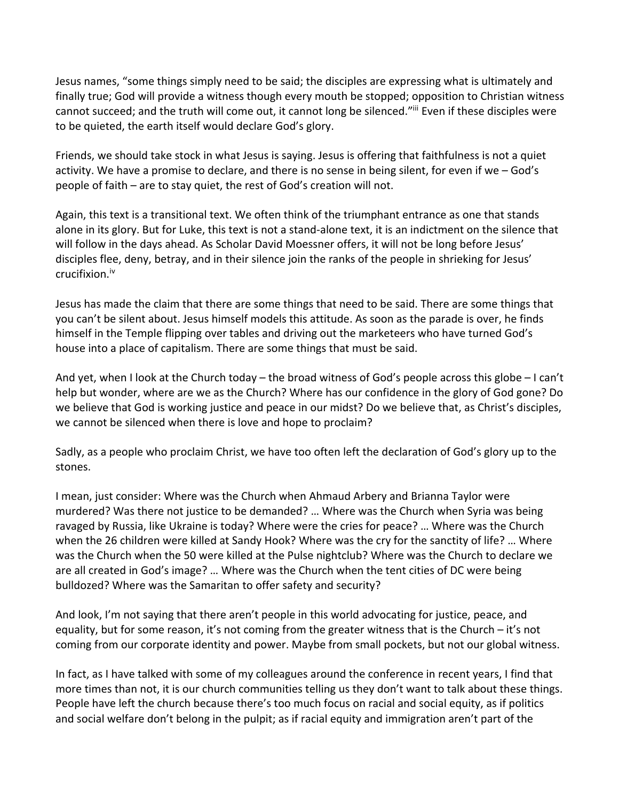Jesus names, "some things simply need to be said; the disciples are expressing what is ultimately and finally true; God will provide a witness though every mouth be stopped; opposition to Christian witness cannot succeed; and the truth will come out, it cannot long be silenced."iii Even if these disciples were to be quieted, the earth itself would declare God's glory.

Friends, we should take stock in what Jesus is saying. Jesus is offering that faithfulness is not a quiet activity. We have a promise to declare, and there is no sense in being silent, for even if we – God's people of faith – are to stay quiet, the rest of God's creation will not.

Again, this text is a transitional text. We often think of the triumphant entrance as one that stands alone in its glory. But for Luke, this text is not a stand-alone text, it is an indictment on the silence that will follow in the days ahead. As Scholar David Moessner offers, it will not be long before Jesus' disciples flee, deny, betray, and in their silence join the ranks of the people in shrieking for Jesus' crucifixion.iv

Jesus has made the claim that there are some things that need to be said. There are some things that you can't be silent about. Jesus himself models this attitude. As soon as the parade is over, he finds himself in the Temple flipping over tables and driving out the marketeers who have turned God's house into a place of capitalism. There are some things that must be said.

And yet, when I look at the Church today – the broad witness of God's people across this globe – I can't help but wonder, where are we as the Church? Where has our confidence in the glory of God gone? Do we believe that God is working justice and peace in our midst? Do we believe that, as Christ's disciples, we cannot be silenced when there is love and hope to proclaim?

Sadly, as a people who proclaim Christ, we have too often left the declaration of God's glory up to the stones.

I mean, just consider: Where was the Church when Ahmaud Arbery and Brianna Taylor were murdered? Was there not justice to be demanded? … Where was the Church when Syria was being ravaged by Russia, like Ukraine is today? Where were the cries for peace? … Where was the Church when the 26 children were killed at Sandy Hook? Where was the cry for the sanctity of life? … Where was the Church when the 50 were killed at the Pulse nightclub? Where was the Church to declare we are all created in God's image? … Where was the Church when the tent cities of DC were being bulldozed? Where was the Samaritan to offer safety and security?

And look, I'm not saying that there aren't people in this world advocating for justice, peace, and equality, but for some reason, it's not coming from the greater witness that is the Church – it's not coming from our corporate identity and power. Maybe from small pockets, but not our global witness.

In fact, as I have talked with some of my colleagues around the conference in recent years, I find that more times than not, it is our church communities telling us they don't want to talk about these things. People have left the church because there's too much focus on racial and social equity, as if politics and social welfare don't belong in the pulpit; as if racial equity and immigration aren't part of the